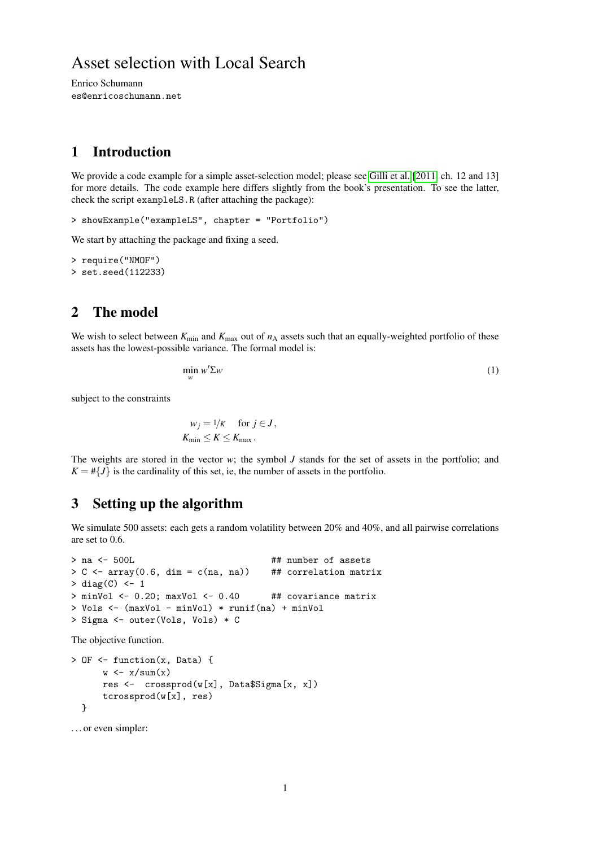# Asset selection with Local Search

Enrico Schumann es@enricoschumann.net

## 1 Introduction

We provide a code example for a simple asset-selection model; please see [Gilli et al.](#page-2-0) [\[2011,](#page-2-0) ch. 12 and 13] for more details. The code example here differs slightly from the book's presentation. To see the latter, check the script exampleLS.R (after attaching the package):

> showExample("exampleLS", chapter = "Portfolio")

We start by attaching the package and fixing a seed.

```
> require("NMOF")
> set.seed(112233)
```
## 2 The model

We wish to select between  $K_{\text{min}}$  and  $K_{\text{max}}$  out of  $n_A$  assets such that an equally-weighted portfolio of these assets has the lowest-possible variance. The formal model is:

$$
\min_{w} w' \Sigma w \tag{1}
$$

subject to the constraints

$$
w_j = 1/k \quad \text{for } j \in J,
$$
  

$$
K_{\min} \le K \le K_{\max}.
$$

The weights are stored in the vector *w*; the symbol *J* stands for the set of assets in the portfolio; and  $K = \#\{J\}$  is the cardinality of this set, ie, the number of assets in the portfolio.

### 3 Setting up the algorithm

We simulate 500 assets: each gets a random volatility between 20% and 40%, and all pairwise correlations are set to 0.6.

```
> na <- 500L \overline{a} +# number of assets
> C <- array(0.6, dim = c(na, na)) ## correlation matrix
> diag(C) <- 1
> minVol <- 0.20; maxVol <- 0.40 ## covariance matrix
> Vols <- (maxVol - minVol) * runif(na) + minVol
> Sigma <- outer(Vols, Vols) * C
```
The objective function.

```
> OF <- function(x, Data) {
      w \leftarrow x/\text{sum}(x)res <- crossprod(w[x], Data$Sigma[x, x])
      tcrossprod(w[x], res)
  }
```
. . . or even simpler: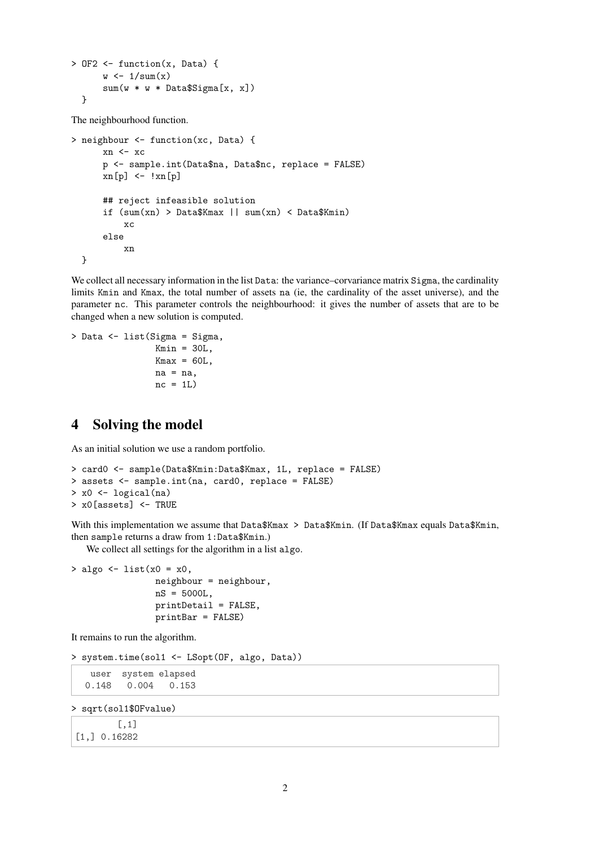```
> OF2 \leq function(x, Data) {
       w \leftarrow 1/\text{sum}(x)sum(w * w * Data$Signa[x, x])}
```
The neighbourhood function.

```
> neighbour <- function(xc, Data) {
      xn <- xc
      p <- sample.int(Data$na, Data$nc, replace = FALSE)
      xn[p] \leftarrow \{xn[p]## reject infeasible solution
      if (sum(xn) > Data$Kmax || sum(xn) < Data$Kmin)
          xc
      else
          xn
  }
```
We collect all necessary information in the list Data: the variance-corvariance matrix Sigma, the cardinality limits Kmin and Kmax, the total number of assets na (ie, the cardinality of the asset universe), and the parameter nc. This parameter controls the neighbourhood: it gives the number of assets that are to be changed when a new solution is computed.

```
> Data <- list(Sigma = Sigma,
                Kmin = 30L,
                Kmax = 60L.
                na = na,
                nc = 1L)
```
## 4 Solving the model

As an initial solution we use a random portfolio.

```
> card0 <- sample(Data$Kmin:Data$Kmax, 1L, replace = FALSE)
> assets <- sample.int(na, card0, replace = FALSE)
> x0 <- logical(na)
> x0[assets] <- TRUE
```
With this implementation we assume that Data\$Kmax > Data\$Kmin. (If Data\$Kmax equals Data\$Kmin, then sample returns a draw from 1:Data\$Kmin.)

We collect all settings for the algorithm in a list algo.

 $>$  algo  $<-$  list(x0 = x0, neighbour = neighbour, nS = 5000L, printDetail = FALSE, printBar = FALSE)

It remains to run the algorithm.

```
> system.time(sol1 <- LSopt(OF, algo, Data))
```

```
user system elapsed
0.148 0.004 0.153
```
> sqrt(sol1\$OFvalue)

[,1] [1,] 0.16282